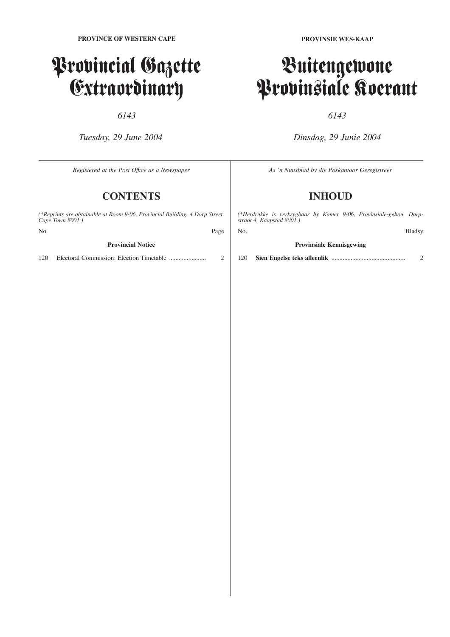## Provincial Gazette Extraordinary

*6143*

*Tuesday, 29 June 2004*

**PROVINSIE WES-KAAP**

### Buitengewone Provinsiale Koerant

### *6143*

*Dinsdag, 29 Junie 2004*

| Registered at the Post Office as a Newspaper                                                    |                 | As 'n Nuusblad by die Poskantoor Geregistreer                                                   |               |
|-------------------------------------------------------------------------------------------------|-----------------|-------------------------------------------------------------------------------------------------|---------------|
|                                                                                                 | <b>CONTENTS</b> |                                                                                                 | <b>INHOUD</b> |
| (*Reprints are obtainable at Room 9-06, Provincial Building, 4 Dorp Street,<br>Cape Town 8001.) |                 | (*Herdrukke is verkrygbaar by Kamer 9-06, Provinsiale-gebou, Dorp-<br>straat 4, Kaapstad 8001.) |               |
| N <sub>0</sub>                                                                                  | Page            | No.                                                                                             | <b>Bladsy</b> |
| <b>Provincial Notice</b>                                                                        |                 | <b>Provinsiale Kennisgewing</b>                                                                 |               |
| 120                                                                                             | ◠               | l 20                                                                                            |               |
|                                                                                                 |                 |                                                                                                 |               |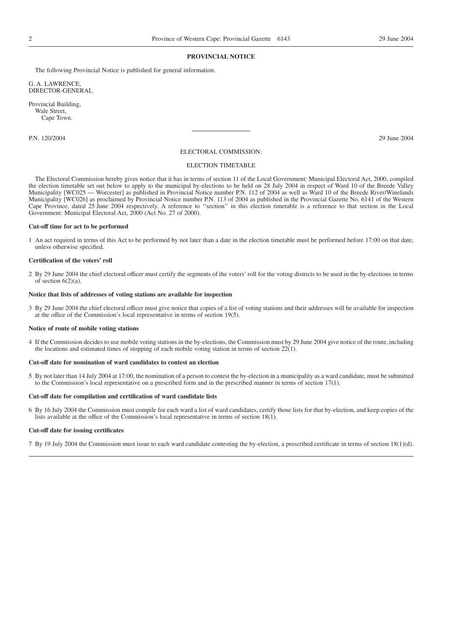#### **PROVINCIAL NOTICE**

The following Provincial Notice is published for general information.

G. A. LAWRENCE, DIRECTOR-GENERAL

Provincial Building, Wale Street, Cape Town.

P.N. 120/2004 29 June 2004

#### ELECTORAL COMMISSION:

#### ELECTION TIMETABLE

The Electoral Commission hereby gives notice that it has in terms of section 11 of the Local Government: Municipal Electoral Act, 2000, compiled the election timetable set out below to apply to the municipal by-elections to be held on 28 July 2004 in respect of Ward 10 of the Breede Valley Municipality [WC025 — Worcester] as published in Provincial Notice number P.N. 112 of 2004 as well as Ward 10 of the Breede River/Winelands Municipality [WC026] as proclaimed by Provincial Notice number P.N. 113 of 2004 as published in the Provincial Gazette No. 6141 of the Western Cape Province, dated 25 June 2004 respectively. A reference to ''section'' in this election timetable is a reference to that section in the Local Government: Municipal Electoral Act, 2000 (Act No. 27 of 2000).

#### **Cut-off time for act to be performed**

1 An act required in terms of this Act to be performed by not later than a date in the election timetable must be performed before 17:00 on that date, unless otherwise specified.

#### **Certification of the voters' roll**

2 By 29 June 2004 the chief electoral officer must certify the segments of the voters' roll for the voting districts to be used in the by-elections in terms of section  $6(2)(a)$ .

#### **Notice that lists of addresses of voting stations are available for inspection**

3 By 29 June 2004 the chief electoral officer must give notice that copies of a list of voting stations and their addresses will be available for inspection at the office of the Commission's local representative in terms of section 19(5).

#### **Notice of route of mobile voting stations**

4 If the Commission decides to use mobile voting stations in the by-elections, the Commission must by 29 June 2004 give notice of the route, including the locations and estimated times of stopping of each mobile voting station in terms of section 22(1).

#### **Cut-off date for nomination of ward candidates to contest an election**

5 By not later than 14 July 2004 at 17:00, the nomination of a person to contest the by-election in a municipality as a ward candidate, must be submitted to the Commission's local representative on a prescribed form and in the prescribed manner in terms of section 17(1).

#### **Cut-off date for compilation and certification of ward candidate lists**

6 By 16 July 2004 the Commission must compile for each ward a list of ward candidates, certify those lists for that by-election, and keep copies of the lists available at the office of the Commission's local representative in terms of section 18(1).

#### **Cut-off date for issuing certificates**

7 By 19 July 2004 the Commission must issue to each ward candidate contesting the by-election, a prescribed certificate in terms of section 18(1)(d).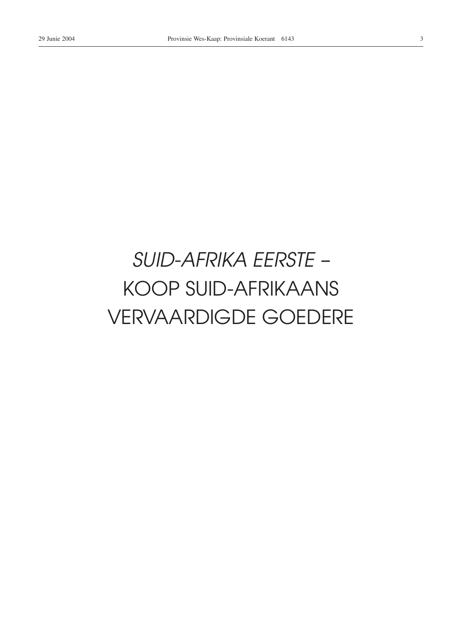## SUID-AFRIKA EERSTE -**KOOP SUID-AFRIKAANS VERVAARDIGDE GOEDERE**